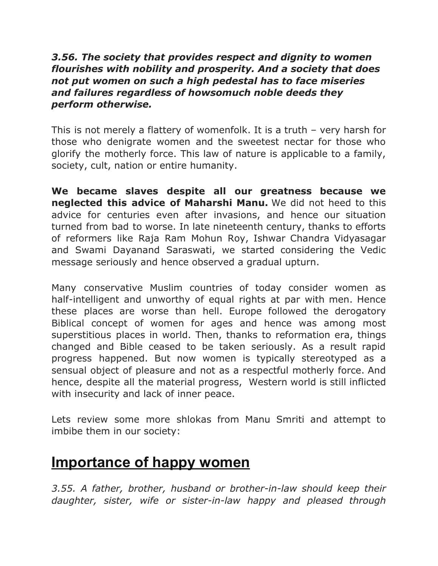#### *3.56. The society that provides respect and dignity to women flourishes with nobility and prosperity. And a society that does not put women on such a high pedestal has to face miseries and failures regardless of howsomuch noble deeds they perform otherwise.*

This is not merely a flattery of womenfolk. It is a truth – very harsh for those who denigrate women and the sweetest nectar for those who glorify the motherly force. This law of nature is applicable to a family, society, cult, nation or entire humanity.

**We became slaves despite all our greatness because we neglected this advice of Maharshi Manu.** We did not heed to this advice for centuries even after invasions, and hence our situation turned from bad to worse. In late nineteenth century, thanks to efforts of reformers like Raja Ram Mohun Roy, Ishwar Chandra Vidyasagar and Swami Dayanand Saraswati, we started considering the Vedic message seriously and hence observed a gradual upturn.

Many conservative Muslim countries of today consider women as half-intelligent and unworthy of equal rights at par with men. Hence these places are worse than hell. Europe followed the derogatory Biblical concept of women for ages and hence was among most superstitious places in world. Then, thanks to reformation era, things changed and Bible ceased to be taken seriously. As a result rapid progress happened. But now women is typically stereotyped as a sensual object of pleasure and not as a respectful motherly force. And hence, despite all the material progress, Western world is still inflicted with insecurity and lack of inner peace.

Lets review some more shlokas from Manu Smriti and attempt to imbibe them in our society:

### **Importance of happy women**

*3.55. A father, brother, husband or brother-in-law should keep their daughter, sister, wife or sister-in-law happy and pleased through*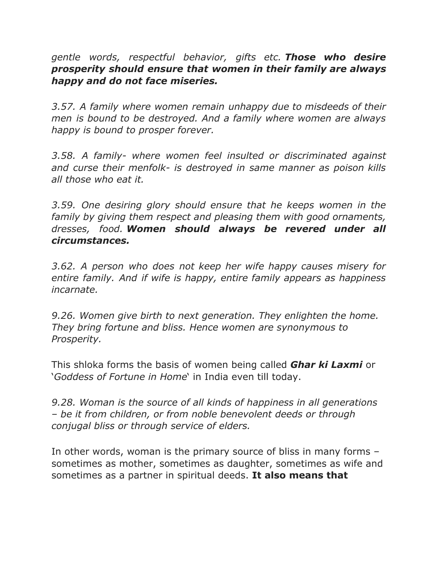*gentle words, respectful behavior, gifts etc. Those who desire prosperity should ensure that women in their family are always happy and do not face miseries.*

*3.57. A family where women remain unhappy due to misdeeds of their men is bound to be destroyed. And a family where women are always happy is bound to prosper forever.*

*3.58. A family- where women feel insulted or discriminated against and curse their menfolk- is destroyed in same manner as poison kills all those who eat it.*

*3.59. One desiring glory should ensure that he keeps women in the family by giving them respect and pleasing them with good ornaments, dresses, food. Women should always be revered under all circumstances.*

*3.62. A person who does not keep her wife happy causes misery for entire family. And if wife is happy, entire family appears as happiness incarnate.*

*9.26. Women give birth to next generation. They enlighten the home. They bring fortune and bliss. Hence women are synonymous to Prosperity.*

This shloka forms the basis of women being called *Ghar ki Laxmi* or '*Goddess of Fortune in Home*' in India even till today.

*9.28. Woman is the source of all kinds of happiness in all generations – be it from children, or from noble benevolent deeds or through conjugal bliss or through service of elders.*

In other words, woman is the primary source of bliss in many forms – sometimes as mother, sometimes as daughter, sometimes as wife and sometimes as a partner in spiritual deeds. **It also means that**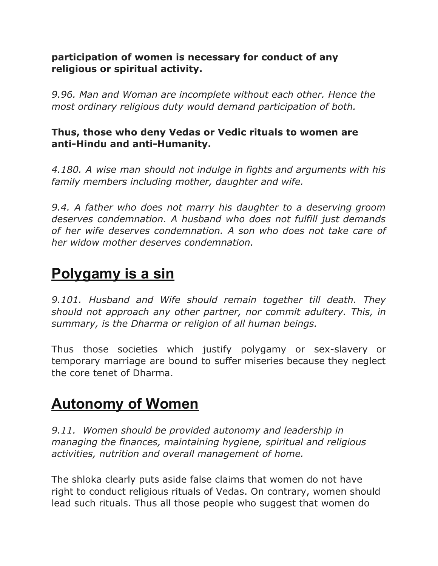#### **participation of women is necessary for conduct of any religious or spiritual activity.**

*9.96. Man and Woman are incomplete without each other. Hence the most ordinary religious duty would demand participation of both.*

### **Thus, those who deny Vedas or Vedic rituals to women are anti-Hindu and anti-Humanity.**

*4.180. A wise man should not indulge in fights and arguments with his family members including mother, daughter and wife.*

*9.4. A father who does not marry his daughter to a deserving groom deserves condemnation. A husband who does not fulfill just demands of her wife deserves condemnation. A son who does not take care of her widow mother deserves condemnation.*

### **Polygamy is a sin**

*9.101. Husband and Wife should remain together till death. They should not approach any other partner, nor commit adultery. This, in summary, is the Dharma or religion of all human beings.*

Thus those societies which justify polygamy or sex-slavery or temporary marriage are bound to suffer miseries because they neglect the core tenet of Dharma.

## **Autonomy of Women**

*9.11. Women should be provided autonomy and leadership in managing the finances, maintaining hygiene, spiritual and religious activities, nutrition and overall management of home.*

The shloka clearly puts aside false claims that women do not have right to conduct religious rituals of Vedas. On contrary, women should lead such rituals. Thus all those people who suggest that women do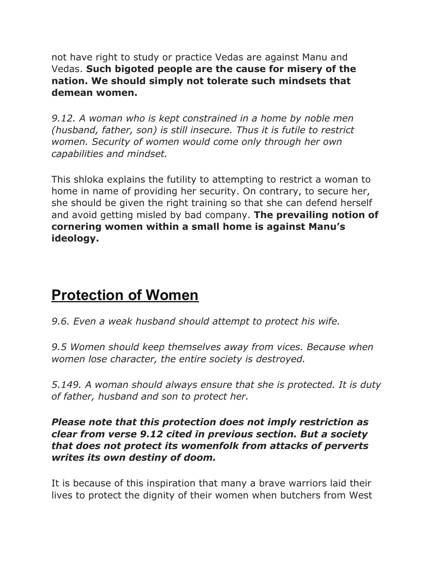not have right to study or practice Vedas are against Manu and Vedas. **Such bigoted people are the cause for misery of the nation. We should simply not tolerate such mindsets that demean women.**

*9.12. A woman who is kept constrained in a home by noble men (husband, father, son) is still insecure. Thus it is futile to restrict women. Security of women would come only through her own capabilities and mindset.*

This shloka explains the futility to attempting to restrict a woman to home in name of providing her security. On contrary, to secure her, she should be given the right training so that she can defend herself and avoid getting misled by bad company. **The prevailing notion of cornering women within a small home is against Manu's ideology.**

## **Protection of Women**

*9.6. Even a weak husband should attempt to protect his wife.*

*9.5 Women should keep themselves away from vices. Because when women lose character, the entire society is destroyed.*

*5.149. A woman should always ensure that she is protected. It is duty of father, husband and son to protect her.*

#### *Please note that this protection does not imply restriction as clear from verse 9.12 cited in previous section. But a society that does not protect its womenfolk from attacks of perverts writes its own destiny of doom.*

It is because of this inspiration that many a brave warriors laid their lives to protect the dignity of their women when butchers from West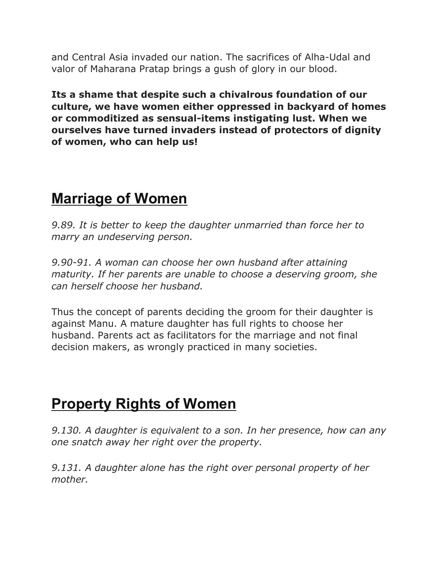and Central Asia invaded our nation. The sacrifices of Alha-Udal and valor of Maharana Pratap brings a gush of glory in our blood.

**Its a shame that despite such a chivalrous foundation of our culture, we have women either oppressed in backyard of homes or commoditized as sensual-items instigating lust. When we ourselves have turned invaders instead of protectors of dignity of women, who can help us!**

## **Marriage of Women**

*9.89. It is better to keep the daughter unmarried than force her to marry an undeserving person.*

*9.90-91. A woman can choose her own husband after attaining maturity. If her parents are unable to choose a deserving groom, she can herself choose her husband.*

Thus the concept of parents deciding the groom for their daughter is against Manu. A mature daughter has full rights to choose her husband. Parents act as facilitators for the marriage and not final decision makers, as wrongly practiced in many societies.

## **Property Rights of Women**

*9.130. A daughter is equivalent to a son. In her presence, how can any one snatch away her right over the property.*

*9.131. A daughter alone has the right over personal property of her mother.*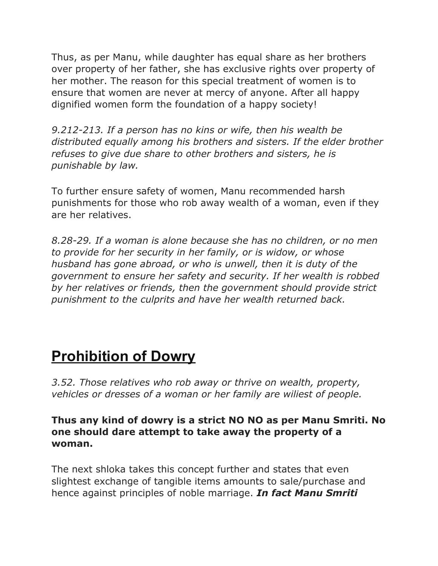Thus, as per Manu, while daughter has equal share as her brothers over property of her father, she has exclusive rights over property of her mother. The reason for this special treatment of women is to ensure that women are never at mercy of anyone. After all happy dignified women form the foundation of a happy society!

*9.212-213. If a person has no kins or wife, then his wealth be distributed equally among his brothers and sisters. If the elder brother refuses to give due share to other brothers and sisters, he is punishable by law.*

To further ensure safety of women, Manu recommended harsh punishments for those who rob away wealth of a woman, even if they are her relatives.

*8.28-29. If a woman is alone because she has no children, or no men to provide for her security in her family, or is widow, or whose husband has gone abroad, or who is unwell, then it is duty of the government to ensure her safety and security. If her wealth is robbed by her relatives or friends, then the government should provide strict punishment to the culprits and have her wealth returned back.*

# **Prohibition of Dowry**

*3.52. Those relatives who rob away or thrive on wealth, property, vehicles or dresses of a woman or her family are wiliest of people.*

#### **Thus any kind of dowry is a strict NO NO as per Manu Smriti. No one should dare attempt to take away the property of a woman.**

The next shloka takes this concept further and states that even slightest exchange of tangible items amounts to sale/purchase and hence against principles of noble marriage. *In fact Manu Smriti*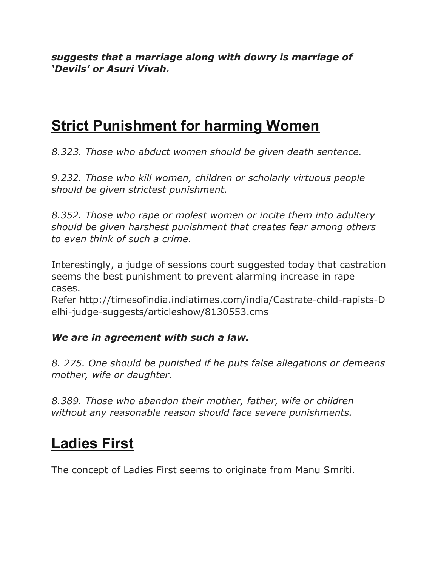*suggests that a marriage along with dowry is marriage of 'Devils' or Asuri Vivah.*

### **Strict Punishment for harming Women**

*8.323. Those who abduct women should be given death sentence.*

*9.232. Those who kill women, children or scholarly virtuous people should be given strictest punishment.*

*8.352. Those who rape or molest women or incite them into adultery should be given harshest punishment that creates fear among others to even think of such a crime.*

Interestingly, a judge of sessions court suggested today that castration seems the best punishment to prevent alarming increase in rape cases.

Refer http://timesofindia.indiatimes.com/india/Castrate-child-rapists-D elhi-judge-suggests/articleshow/8130553.cms

### *We are in agreement with such a law.*

*8. 275. One should be punished if he puts false allegations or demeans mother, wife or daughter.*

*8.389. Those who abandon their mother, father, wife or children without any reasonable reason should face severe punishments.*

# **Ladies First**

The concept of Ladies First seems to originate from Manu Smriti.